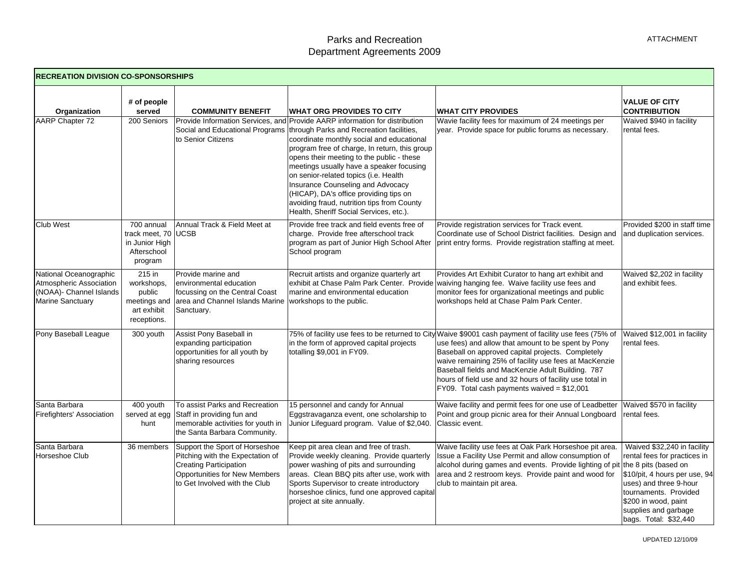| <b>RECREATION DIVISION CO-SPONSORSHIPS</b>                                                              |                                                                                |                                                                                                                                                                       |                                                                                                                                                                                                                                                                                                                                                                |                                                                                                                                                                                                                                                                                                                                                                                                                                               |                                                                                                                                                                                                 |  |
|---------------------------------------------------------------------------------------------------------|--------------------------------------------------------------------------------|-----------------------------------------------------------------------------------------------------------------------------------------------------------------------|----------------------------------------------------------------------------------------------------------------------------------------------------------------------------------------------------------------------------------------------------------------------------------------------------------------------------------------------------------------|-----------------------------------------------------------------------------------------------------------------------------------------------------------------------------------------------------------------------------------------------------------------------------------------------------------------------------------------------------------------------------------------------------------------------------------------------|-------------------------------------------------------------------------------------------------------------------------------------------------------------------------------------------------|--|
| Organization<br>AARP Chapter 72                                                                         | # of people<br>served<br>200 Seniors                                           | <b>COMMUNITY BENEFIT</b><br>Provide Information Services, and<br>Social and Educational Programs<br>to Senior Citizens                                                | <b>WHAT ORG PROVIDES TO CITY</b><br>Provide AARP information for distribution<br>through Parks and Recreation facilities,<br>coordinate monthly social and educational                                                                                                                                                                                         | <b>IWHAT CITY PROVIDES</b><br>Wavie facility fees for maximum of 24 meetings per<br>year. Provide space for public forums as necessary.                                                                                                                                                                                                                                                                                                       | <b>VALUE OF CITY</b><br><b>CONTRIBUTION</b><br>Waived \$940 in facility<br>rental fees.                                                                                                         |  |
|                                                                                                         |                                                                                |                                                                                                                                                                       | program free of charge, In return, this group<br>opens their meeting to the public - these<br>meetings usually have a speaker focusing<br>on senior-related topics (i.e. Health<br><b>Insurance Counseling and Advocacy</b><br>(HICAP), DA's office providing tips on<br>avoiding fraud, nutrition tips from County<br>Health, Sheriff Social Services, etc.). |                                                                                                                                                                                                                                                                                                                                                                                                                                               |                                                                                                                                                                                                 |  |
| <b>Club West</b>                                                                                        | 700 annual<br>track meet, 70 UCSB<br>in Junior High<br>Afterschool<br>program  | Annual Track & Field Meet at                                                                                                                                          | Provide free track and field events free of<br>charge. Provide free afterschool track<br>program as part of Junior High School After<br>School program                                                                                                                                                                                                         | Provide registration services for Track event.<br>Coordinate use of School District facilities. Design and<br>print entry forms. Provide registration staffing at meet.                                                                                                                                                                                                                                                                       | Provided \$200 in staff time<br>and duplication services.                                                                                                                                       |  |
| National Oceanographic<br>Atmospheric Association<br>(NOAA)- Channel Islands<br><b>Marine Sanctuary</b> | $215$ in<br>workshops,<br>public<br>meetings and<br>art exhibit<br>receptions. | Provide marine and<br>environmental education<br>focussing on the Central Coast<br>area and Channel Islands Marine<br>Sanctuary.                                      | Recruit artists and organize quarterly art<br>exhibit at Chase Palm Park Center. Provide<br>marine and environmental education<br>workshops to the public.                                                                                                                                                                                                     | Provides Art Exhibit Curator to hang art exhibit and<br>waiving hanging fee. Waive facility use fees and<br>monitor fees for organizational meetings and public<br>workshops held at Chase Palm Park Center.                                                                                                                                                                                                                                  | Waived \$2,202 in facility<br>and exhibit fees.                                                                                                                                                 |  |
| Pony Baseball League                                                                                    | 300 youth                                                                      | Assist Pony Baseball in<br>expanding participation<br>opportunities for all youth by<br>sharing resources                                                             | in the form of approved capital projects<br>totalling \$9,001 in FY09.                                                                                                                                                                                                                                                                                         | 75% of facility use fees to be returned to City Waive \$9001 cash payment of facility use fees (75% of<br>use fees) and allow that amount to be spent by Pony<br>Baseball on approved capital projects. Completely<br>waive remaining 25% of facility use fees at MacKenzie<br>Baseball fields and MacKenzie Adult Building. 787<br>hours of field use and 32 hours of facility use total in<br>$FY09.$ Total cash payments waived = \$12,001 | Waived \$12,001 in facility<br>rental fees.                                                                                                                                                     |  |
| Santa Barbara<br>Firefighters' Association                                                              | 400 youth<br>served at egg<br>hunt                                             | To assist Parks and Recreation<br>Staff in providing fun and<br>memorable activities for youth in<br>the Santa Barbara Community.                                     | 15 personnel and candy for Annual<br>Eggstravaganza event, one scholarship to<br>Junior Lifeguard program. Value of \$2,040.                                                                                                                                                                                                                                   | Waive facility and permit fees for one use of Leadbetter<br>Point and group picnic area for their Annual Longboard<br>Classic event.                                                                                                                                                                                                                                                                                                          | Waived \$570 in facility<br>rental fees.                                                                                                                                                        |  |
| Santa Barbara<br>Horseshoe Club                                                                         | 36 members                                                                     | Support the Sport of Horseshoe<br>Pitching with the Expectation of<br><b>Creating Participation</b><br>Opportunities for New Members<br>to Get Involved with the Club | Keep pit area clean and free of trash.<br>Provide weekly cleaning. Provide quarterly<br>power washing of pits and surrounding<br>areas. Clean BBQ pits after use, work with<br>Sports Supervisor to create introductory<br>horseshoe clinics, fund one approved capital<br>project at site annually.                                                           | Waive facility use fees at Oak Park Horseshoe pit area.<br>Issue a Facility Use Permit and allow consumption of<br>alcohol during games and events. Provide lighting of pit<br>area and 2 restroom keys. Provide paint and wood for<br>club to maintain pit area.                                                                                                                                                                             | Waived \$32,240 in facility<br>rental fees for practices in<br>the 8 pits (based on<br>\$10/pit, 4 hours per use, 94<br>uses) and three 9-hour<br>tournaments. Provided<br>\$200 in wood, paint |  |

supplies and garbage bags. Total: \$32,440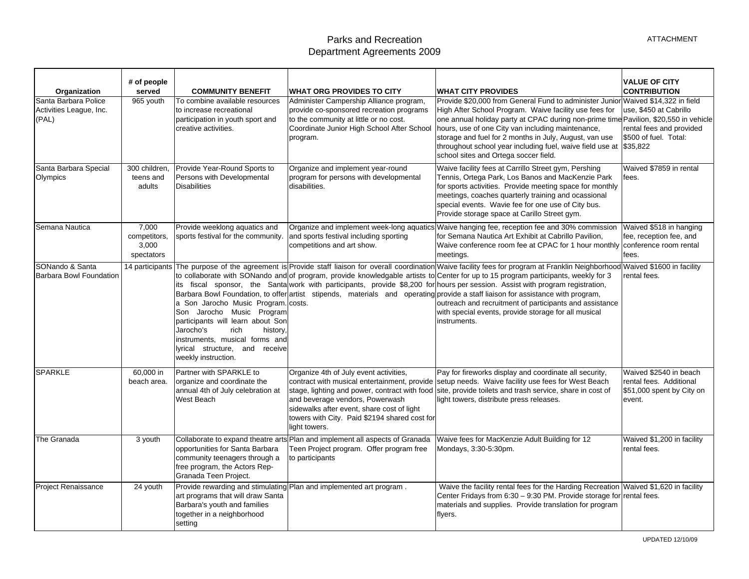## Parks and Recreation Department Agreements 2009

| Organization                                             | # of people<br>served                        | <b>COMMUNITY BENEFIT</b>                                                                                                                                                                                                          | <b>WHAT ORG PROVIDES TO CITY</b>                                                                                                                                                                                                                                                           | <b>WHAT CITY PROVIDES</b>                                                                                                                                                                                                                                                                                                                                                                                                                                                                                                                                                                                                                                                                                      | <b>VALUE OF CITY</b><br><b>CONTRIBUTION</b>                                              |
|----------------------------------------------------------|----------------------------------------------|-----------------------------------------------------------------------------------------------------------------------------------------------------------------------------------------------------------------------------------|--------------------------------------------------------------------------------------------------------------------------------------------------------------------------------------------------------------------------------------------------------------------------------------------|----------------------------------------------------------------------------------------------------------------------------------------------------------------------------------------------------------------------------------------------------------------------------------------------------------------------------------------------------------------------------------------------------------------------------------------------------------------------------------------------------------------------------------------------------------------------------------------------------------------------------------------------------------------------------------------------------------------|------------------------------------------------------------------------------------------|
| Santa Barbara Police<br>Activities League, Inc.<br>(PAL) | 965 youth                                    | To combine available resources<br>to increase recreational<br>participation in youth sport and<br>creative activities.                                                                                                            | Administer Campership Alliance program,<br>provide co-sponsored recreation programs<br>to the community at little or no cost.<br>Coordinate Junior High School After School<br>program.                                                                                                    | Provide \$20,000 from General Fund to administer Junior Waived \$14,322 in field<br>High After School Program. Waive facility use fees for<br>one annual holiday party at CPAC during non-prime time Pavilion, \$20,550 in vehicle<br>hours, use of one City van including maintenance,<br>storage and fuel for 2 months in July, August, van use<br>throughout school year including fuel, waive field use at<br>school sites and Ortega soccer field.                                                                                                                                                                                                                                                        | use, \$450 at Cabrillo<br>rental fees and provided<br>\$500 of fuel. Total:<br>\$35,822  |
| Santa Barbara Special<br>Olympics                        | 300 children,<br>teens and<br>adults         | Provide Year-Round Sports to<br>Persons with Developmental<br><b>Disabilities</b>                                                                                                                                                 | Organize and implement year-round<br>program for persons with developmental<br>disabilities.                                                                                                                                                                                               | Waive facility fees at Carrillo Street gym, Pershing<br>Tennis, Ortega Park, Los Banos and MacKenzie Park<br>for sports activities. Provide meeting space for monthly<br>meetings, coaches quarterly training and ocassional<br>special events. Wavie fee for one use of City bus.<br>Provide storage space at Carillo Street gym.                                                                                                                                                                                                                                                                                                                                                                             | Waived \$7859 in rental<br>fees.                                                         |
| Semana Nautica                                           | 7.000<br>competitors,<br>3,000<br>spectators | Provide weeklong aquatics and<br>sports festival for the community.                                                                                                                                                               | and sports festival including sporting<br>competitions and art show.                                                                                                                                                                                                                       | Organize and implement week-long aquatics Waive hanging fee, reception fee and 30% commission<br>for Semana Nautica Art Exhibit at Cabrillo Pavilion,<br>Waive conference room fee at CPAC for 1 hour monthly conference room rental<br>meetings.                                                                                                                                                                                                                                                                                                                                                                                                                                                              | Waived \$518 in hanging<br>fee, reception fee, and<br>fees.                              |
| SONando & Santa<br>Barbara Bowl Foundation               | 14 participants                              | a Son Jarocho Music Program. costs.<br>Son Jarocho Music Program<br>participants will learn about Son<br>Jarocho's<br>history.<br>rich<br>instruments, musical forms and<br>lyrical structure, and receive<br>weekly instruction. |                                                                                                                                                                                                                                                                                            | The purpose of the agreement is Provide staff liaison for overall coordination Waive facility fees for program at Franklin Neighborhood Waived \$1600 in facility<br>to collaborate with SONando and of program, provide knowledgable artists to Center for up to 15 program participants, weekly for 3<br>its fiscal sponsor, the Santa work with participants, provide \$8,200 for hours per session. Assist with program registration,<br>Barbara Bowl Foundation, to offer artist stipends, materials and operating provide a staff liaison for assistance with program,<br>outreach and recruitment of participants and assistance<br>with special events, provide storage for all musical<br>nstruments. | rental fees.                                                                             |
| <b>SPARKLE</b>                                           | 60,000 in<br>beach area.                     | Partner with SPARKLE to<br>organize and coordinate the<br>annual 4th of July celebration at<br>West Beach                                                                                                                         | Organize 4th of July event activities,<br>contract with musical entertainment, provide<br>stage, lighting and power, contract with food<br>and beverage vendors, Powerwash<br>sidewalks after event, share cost of light<br>towers with City. Paid \$2194 shared cost for<br>light towers. | Pay for fireworks display and coordinate all security,<br>setup needs. Waive facility use fees for West Beach<br>site, provide toilets and trash service, share in cost of<br>light towers, distribute press releases.                                                                                                                                                                                                                                                                                                                                                                                                                                                                                         | Waived \$2540 in beach<br>rental fees. Additional<br>\$51,000 spent by City on<br>event. |
| The Granada                                              | 3 youth                                      | opportunities for Santa Barbara<br>community teenagers through a<br>free program, the Actors Rep-<br>Granada Teen Project.                                                                                                        | Collaborate to expand theatre arts Plan and implement all aspects of Granada<br>Teen Project program. Offer program free<br>to participants                                                                                                                                                | Waive fees for MacKenzie Adult Building for 12<br>Mondays, 3:30-5:30pm.                                                                                                                                                                                                                                                                                                                                                                                                                                                                                                                                                                                                                                        | Waived \$1,200 in facility<br>rental fees.                                               |
| <b>Project Renaissance</b>                               | 24 youth                                     | art programs that will draw Santa<br>Barbara's youth and families<br>together in a neighborhood<br>setting                                                                                                                        | Provide rewarding and stimulating Plan and implemented art program.                                                                                                                                                                                                                        | Waive the facility rental fees for the Harding Recreation Waived \$1,620 in facility<br>Center Fridays from 6:30 - 9:30 PM. Provide storage for rental fees.<br>materials and supplies. Provide translation for program<br>flyers.                                                                                                                                                                                                                                                                                                                                                                                                                                                                             |                                                                                          |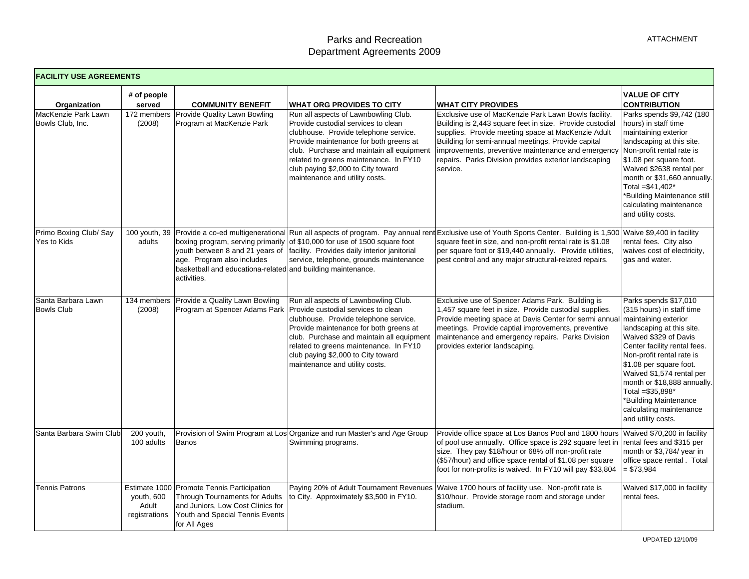| <b>FACILITY USE AGREEMENTS</b>                          |                                                |                                                                                                                                                                      |                                                                                                                                                                                                                                                                                                                                                                   |                                                                                                                                                                                                                                                                                                                                                                                      |                                                                                                                                                                                                                                                                                                                                                                                    |
|---------------------------------------------------------|------------------------------------------------|----------------------------------------------------------------------------------------------------------------------------------------------------------------------|-------------------------------------------------------------------------------------------------------------------------------------------------------------------------------------------------------------------------------------------------------------------------------------------------------------------------------------------------------------------|--------------------------------------------------------------------------------------------------------------------------------------------------------------------------------------------------------------------------------------------------------------------------------------------------------------------------------------------------------------------------------------|------------------------------------------------------------------------------------------------------------------------------------------------------------------------------------------------------------------------------------------------------------------------------------------------------------------------------------------------------------------------------------|
| Organization<br>MacKenzie Park Lawn<br>Bowls Club, Inc. | # of people<br>served<br>172 members<br>(2008) | <b>COMMUNITY BENEFIT</b><br>Provide Quality Lawn Bowling<br>Program at MacKenzie Park                                                                                | <b>WHAT ORG PROVIDES TO CITY</b><br>Run all aspects of Lawnbowling Club.<br>Provide custodial services to clean<br>clubhouse. Provide telephone service.<br>Provide maintenance for both greens at<br>club. Purchase and maintain all equipment<br>related to greens maintenance. In FY10<br>club paying \$2,000 to City toward<br>maintenance and utility costs. | <b>WHAT CITY PROVIDES</b><br>Exclusive use of MacKenzie Park Lawn Bowls facility.<br>Building is 2,443 square feet in size. Provide custodial<br>supplies. Provide meeting space at MacKenzie Adult<br>Building for semi-annual meetings, Provide capital<br>improvements, preventive maintenance and emergency<br>repairs. Parks Division provides exterior landscaping<br>service. | <b>VALUE OF CITY</b><br><b>CONTRIBUTION</b><br>Parks spends \$9,742 (180<br>hours) in staff time<br>maintaining exterior<br>landscaping at this site.<br>Non-profit rental rate is<br>\$1.08 per square foot.<br>Waived \$2638 rental per<br>month or \$31,660 annually.<br>Total =\$41,402*<br>*Building Maintenance still<br>calculating maintenance<br>and utility costs.       |
| Primo Boxing Club/ Say<br>Yes to Kids                   | adults                                         | age. Program also includes<br>basketball and educationa-related and building maintenance.<br>activities.                                                             | boxing program, serving primarily of \$10,000 for use of 1500 square foot<br>youth between 8 and 21 years of facility. Provides daily interior janitorial<br>service, telephone, grounds maintenance                                                                                                                                                              | 100 youth, 39 Provide a co-ed multigenerational Run all aspects of program. Pay annual rent Exclusive use of Youth Sports Center. Building is 1,500<br>square feet in size, and non-profit rental rate is \$1.08<br>per square foot or \$19,440 annually. Provide utilities,<br>pest control and any major structural-related repairs.                                               | Waive \$9,400 in facility<br>rental fees. City also<br>waives cost of electricity,<br>gas and water.                                                                                                                                                                                                                                                                               |
| Santa Barbara Lawn<br><b>Bowls Club</b>                 | 134 members<br>(2008)                          | Provide a Quality Lawn Bowling                                                                                                                                       | Run all aspects of Lawnbowling Club.<br>Program at Spencer Adams Park   Provide custodial services to clean<br>clubhouse. Provide telephone service.<br>Provide maintenance for both greens at<br>club. Purchase and maintain all equipment<br>related to greens maintenance. In FY10<br>club paying \$2,000 to City toward<br>maintenance and utility costs.     | Exclusive use of Spencer Adams Park. Building is<br>1,457 square feet in size. Provide custodial supplies.<br>Provide meeting space at Davis Center for sermi annua<br>meetings. Provide captial improvements, preventive<br>maintenance and emergency repairs. Parks Division<br>provides exterior landscaping.                                                                     | Parks spends \$17,010<br>(315 hours) in staff time<br>maintaining exterior<br>landscaping at this site.<br>Waived \$329 of Davis<br>Center facility rental fees.<br>Non-profit rental rate is<br>\$1.08 per square foot.<br>Waived \$1,574 rental per<br>month or \$18,888 annually.<br>Total =\$35,898*<br>*Building Maintenance<br>calculating maintenance<br>and utility costs. |
| Santa Barbara Swim Club                                 | 200 youth,<br>100 adults                       | Banos                                                                                                                                                                | Provision of Swim Program at Los Organize and run Master's and Age Group<br>Swimming programs.                                                                                                                                                                                                                                                                    | Provide office space at Los Banos Pool and 1800 hours<br>of pool use annually. Office space is 292 square feet in<br>size. They pay \$18/hour or 68% off non-profit rate<br>(\$57/hour) and office space rental of \$1.08 per square<br>foot for non-profits is waived. In FY10 will pay \$33,804                                                                                    | Waived \$70,200 in facility<br>rental fees and \$315 per<br>month or \$3,784/ year in<br>office space rental . Total<br>$= $73,984$                                                                                                                                                                                                                                                |
| <b>Tennis Patrons</b>                                   | youth, 600<br>Adult<br>registrations           | Estimate 1000 Promote Tennis Participation<br>Through Tournaments for Adults<br>and Juniors, Low Cost Clinics for<br>Youth and Special Tennis Events<br>for All Ages | to City. Approximately \$3,500 in FY10.                                                                                                                                                                                                                                                                                                                           | Paying 20% of Adult Tournament Revenues Waive 1700 hours of facility use. Non-profit rate is<br>\$10/hour. Provide storage room and storage under<br>stadium.                                                                                                                                                                                                                        | Waived \$17,000 in facility<br>rental fees.                                                                                                                                                                                                                                                                                                                                        |